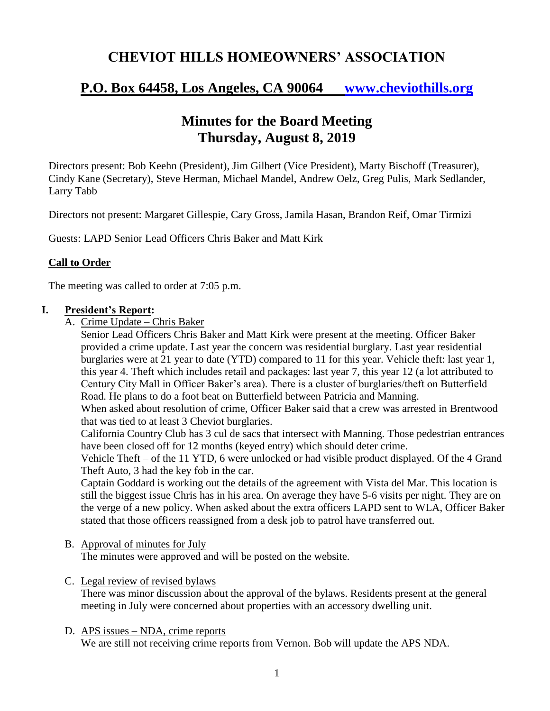## **CHEVIOT HILLS HOMEOWNERS' ASSOCIATION**

# **P.O. Box 64458, Los Angeles, CA 90064 [www.cheviothills.org](http://www.cheviothills.org/)**

## **Minutes for the Board Meeting Thursday, August 8, 2019**

Directors present: Bob Keehn (President), Jim Gilbert (Vice President), Marty Bischoff (Treasurer), Cindy Kane (Secretary), Steve Herman, Michael Mandel, Andrew Oelz, Greg Pulis, Mark Sedlander, Larry Tabb

Directors not present: Margaret Gillespie, Cary Gross, Jamila Hasan, Brandon Reif, Omar Tirmizi

Guests: LAPD Senior Lead Officers Chris Baker and Matt Kirk

## **Call to Order**

The meeting was called to order at 7:05 p.m.

### **I. President's Report:**

A. Crime Update – Chris Baker

Senior Lead Officers Chris Baker and Matt Kirk were present at the meeting. Officer Baker provided a crime update. Last year the concern was residential burglary. Last year residential burglaries were at 21 year to date (YTD) compared to 11 for this year. Vehicle theft: last year 1, this year 4. Theft which includes retail and packages: last year 7, this year 12 (a lot attributed to Century City Mall in Officer Baker's area). There is a cluster of burglaries/theft on Butterfield Road. He plans to do a foot beat on Butterfield between Patricia and Manning.

When asked about resolution of crime, Officer Baker said that a crew was arrested in Brentwood that was tied to at least 3 Cheviot burglaries.

California Country Club has 3 cul de sacs that intersect with Manning. Those pedestrian entrances have been closed off for 12 months (keyed entry) which should deter crime.

Vehicle Theft – of the 11 YTD, 6 were unlocked or had visible product displayed. Of the 4 Grand Theft Auto, 3 had the key fob in the car.

Captain Goddard is working out the details of the agreement with Vista del Mar. This location is still the biggest issue Chris has in his area. On average they have 5-6 visits per night. They are on the verge of a new policy. When asked about the extra officers LAPD sent to WLA, Officer Baker stated that those officers reassigned from a desk job to patrol have transferred out.

B. Approval of minutes for July

The minutes were approved and will be posted on the website.

#### C. Legal review of revised bylaws

There was minor discussion about the approval of the bylaws. Residents present at the general meeting in July were concerned about properties with an accessory dwelling unit.

#### D. APS issues – NDA, crime reports

We are still not receiving crime reports from Vernon. Bob will update the APS NDA.